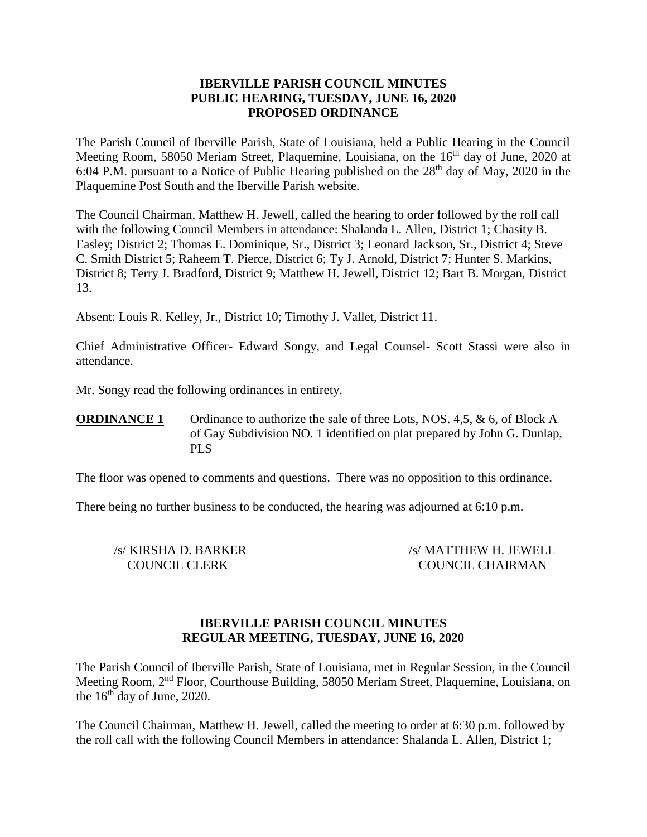### **IBERVILLE PARISH COUNCIL MINUTES PUBLIC HEARING, TUESDAY, JUNE 16, 2020 PROPOSED ORDINANCE**

The Parish Council of Iberville Parish, State of Louisiana, held a Public Hearing in the Council Meeting Room, 58050 Meriam Street, Plaquemine, Louisiana, on the 16<sup>th</sup> day of June, 2020 at 6:04 P.M. pursuant to a Notice of Public Hearing published on the  $28<sup>th</sup>$  day of May, 2020 in the Plaquemine Post South and the Iberville Parish website.

The Council Chairman, Matthew H. Jewell, called the hearing to order followed by the roll call with the following Council Members in attendance: Shalanda L. Allen, District 1; Chasity B. Easley; District 2; Thomas E. Dominique, Sr., District 3; Leonard Jackson, Sr., District 4; Steve C. Smith District 5; Raheem T. Pierce, District 6; Ty J. Arnold, District 7; Hunter S. Markins, District 8; Terry J. Bradford, District 9; Matthew H. Jewell, District 12; Bart B. Morgan, District 13.

Absent: Louis R. Kelley, Jr., District 10; Timothy J. Vallet, District 11.

Chief Administrative Officer- Edward Songy, and Legal Counsel- Scott Stassi were also in attendance.

Mr. Songy read the following ordinances in entirety.

**ORDINANCE 1** Ordinance to authorize the sale of three Lots, NOS. 4,5, & 6, of Block A of Gay Subdivision NO. 1 identified on plat prepared by John G. Dunlap, PLS

The floor was opened to comments and questions. There was no opposition to this ordinance.

There being no further business to be conducted, the hearing was adjourned at 6:10 p.m.

/s/ KIRSHA D. BARKER /s/ MATTHEW H. JEWELL COUNCIL CLERK COUNCIL CHAIRMAN

#### **IBERVILLE PARISH COUNCIL MINUTES REGULAR MEETING, TUESDAY, JUNE 16, 2020**

The Parish Council of Iberville Parish, State of Louisiana, met in Regular Session, in the Council Meeting Room, 2nd Floor, Courthouse Building, 58050 Meriam Street, Plaquemine, Louisiana, on the  $16<sup>th</sup>$  day of June, 2020.

The Council Chairman, Matthew H. Jewell, called the meeting to order at 6:30 p.m. followed by the roll call with the following Council Members in attendance: Shalanda L. Allen, District 1;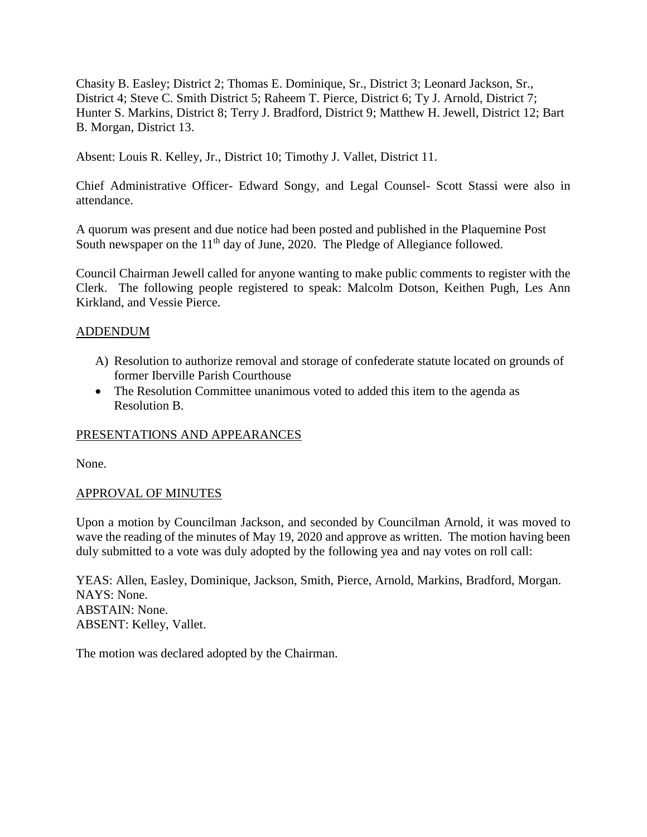Chasity B. Easley; District 2; Thomas E. Dominique, Sr., District 3; Leonard Jackson, Sr., District 4; Steve C. Smith District 5; Raheem T. Pierce, District 6; Ty J. Arnold, District 7; Hunter S. Markins, District 8; Terry J. Bradford, District 9; Matthew H. Jewell, District 12; Bart B. Morgan, District 13.

Absent: Louis R. Kelley, Jr., District 10; Timothy J. Vallet, District 11.

Chief Administrative Officer- Edward Songy, and Legal Counsel- Scott Stassi were also in attendance.

A quorum was present and due notice had been posted and published in the Plaquemine Post South newspaper on the  $11<sup>th</sup>$  day of June, 2020. The Pledge of Allegiance followed.

Council Chairman Jewell called for anyone wanting to make public comments to register with the Clerk. The following people registered to speak: Malcolm Dotson, Keithen Pugh, Les Ann Kirkland, and Vessie Pierce.

### ADDENDUM

- A) Resolution to authorize removal and storage of confederate statute located on grounds of former Iberville Parish Courthouse
- The Resolution Committee unanimous voted to added this item to the agenda as Resolution B.

## PRESENTATIONS AND APPEARANCES

None.

## APPROVAL OF MINUTES

Upon a motion by Councilman Jackson, and seconded by Councilman Arnold, it was moved to wave the reading of the minutes of May 19, 2020 and approve as written. The motion having been duly submitted to a vote was duly adopted by the following yea and nay votes on roll call:

YEAS: Allen, Easley, Dominique, Jackson, Smith, Pierce, Arnold, Markins, Bradford, Morgan. NAYS: None. ABSTAIN: None. ABSENT: Kelley, Vallet.

The motion was declared adopted by the Chairman.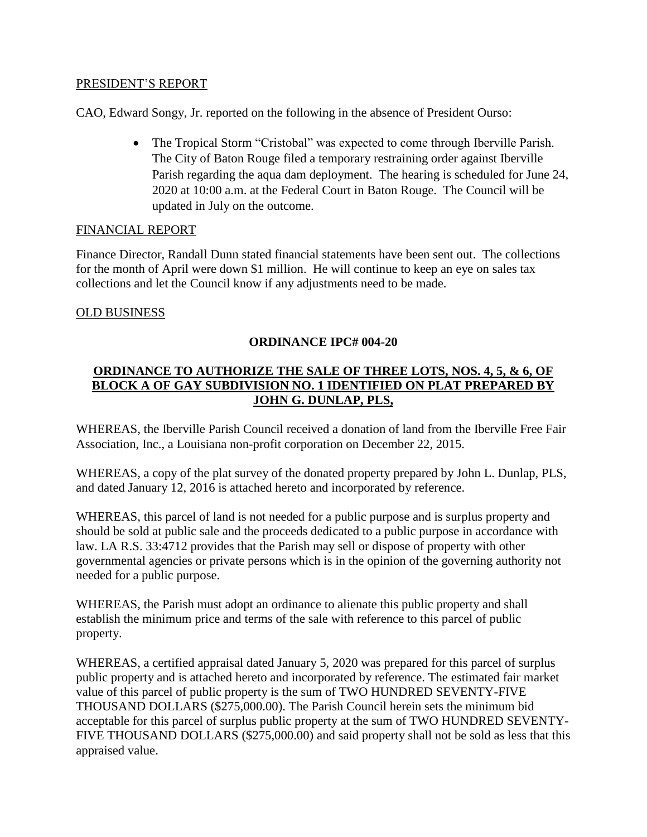#### PRESIDENT'S REPORT

CAO, Edward Songy, Jr. reported on the following in the absence of President Ourso:

• The Tropical Storm "Cristobal" was expected to come through Iberville Parish. The City of Baton Rouge filed a temporary restraining order against Iberville Parish regarding the aqua dam deployment. The hearing is scheduled for June 24, 2020 at 10:00 a.m. at the Federal Court in Baton Rouge. The Council will be updated in July on the outcome.

### FINANCIAL REPORT

Finance Director, Randall Dunn stated financial statements have been sent out. The collections for the month of April were down \$1 million. He will continue to keep an eye on sales tax collections and let the Council know if any adjustments need to be made.

### OLD BUSINESS

## **ORDINANCE IPC# 004-20**

# **ORDINANCE TO AUTHORIZE THE SALE OF THREE LOTS, NOS. 4, 5, & 6, OF BLOCK A OF GAY SUBDIVISION NO. 1 IDENTIFIED ON PLAT PREPARED BY JOHN G. DUNLAP, PLS,**

WHEREAS, the Iberville Parish Council received a donation of land from the Iberville Free Fair Association, Inc., a Louisiana non-profit corporation on December 22, 2015.

WHEREAS, a copy of the plat survey of the donated property prepared by John L. Dunlap, PLS, and dated January 12, 2016 is attached hereto and incorporated by reference.

WHEREAS, this parcel of land is not needed for a public purpose and is surplus property and should be sold at public sale and the proceeds dedicated to a public purpose in accordance with law. LA R.S. 33:4712 provides that the Parish may sell or dispose of property with other governmental agencies or private persons which is in the opinion of the governing authority not needed for a public purpose.

WHEREAS, the Parish must adopt an ordinance to alienate this public property and shall establish the minimum price and terms of the sale with reference to this parcel of public property.

WHEREAS, a certified appraisal dated January 5, 2020 was prepared for this parcel of surplus public property and is attached hereto and incorporated by reference. The estimated fair market value of this parcel of public property is the sum of TWO HUNDRED SEVENTY-FIVE THOUSAND DOLLARS (\$275,000.00). The Parish Council herein sets the minimum bid acceptable for this parcel of surplus public property at the sum of TWO HUNDRED SEVENTY-FIVE THOUSAND DOLLARS (\$275,000.00) and said property shall not be sold as less that this appraised value.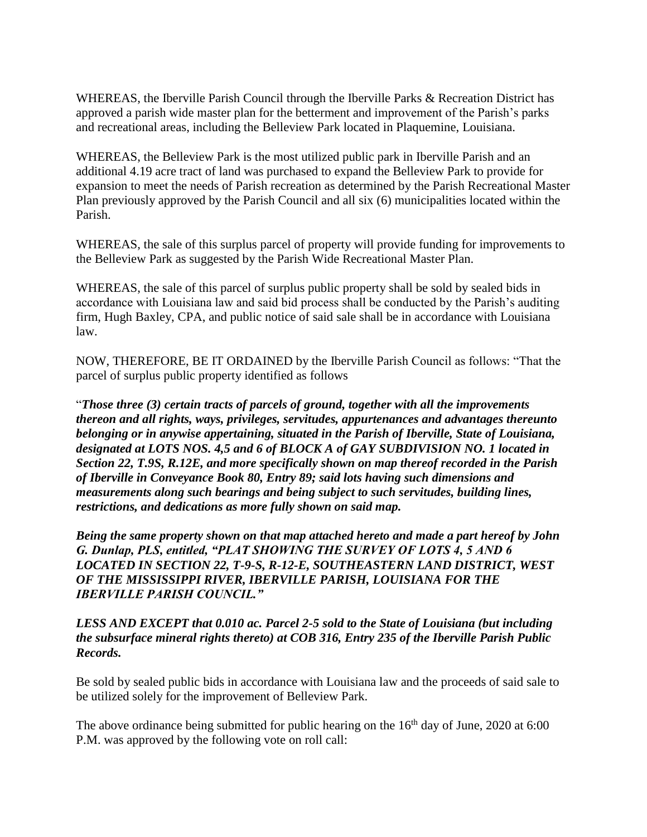WHEREAS, the Iberville Parish Council through the Iberville Parks & Recreation District has approved a parish wide master plan for the betterment and improvement of the Parish's parks and recreational areas, including the Belleview Park located in Plaquemine, Louisiana.

WHEREAS, the Belleview Park is the most utilized public park in Iberville Parish and an additional 4.19 acre tract of land was purchased to expand the Belleview Park to provide for expansion to meet the needs of Parish recreation as determined by the Parish Recreational Master Plan previously approved by the Parish Council and all six (6) municipalities located within the Parish.

WHEREAS, the sale of this surplus parcel of property will provide funding for improvements to the Belleview Park as suggested by the Parish Wide Recreational Master Plan.

WHEREAS, the sale of this parcel of surplus public property shall be sold by sealed bids in accordance with Louisiana law and said bid process shall be conducted by the Parish's auditing firm, Hugh Baxley, CPA, and public notice of said sale shall be in accordance with Louisiana law.

NOW, THEREFORE, BE IT ORDAINED by the Iberville Parish Council as follows: "That the parcel of surplus public property identified as follows

"*Those three (3) certain tracts of parcels of ground, together with all the improvements thereon and all rights, ways, privileges, servitudes, appurtenances and advantages thereunto belonging or in anywise appertaining, situated in the Parish of Iberville, State of Louisiana, designated at LOTS NOS. 4,5 and 6 of BLOCK A of GAY SUBDIVISION NO. 1 located in Section 22, T.9S, R.12E, and more specifically shown on map thereof recorded in the Parish of Iberville in Conveyance Book 80, Entry 89; said lots having such dimensions and measurements along such bearings and being subject to such servitudes, building lines, restrictions, and dedications as more fully shown on said map.* 

*Being the same property shown on that map attached hereto and made a part hereof by John G. Dunlap, PLS, entitled, "PLAT SHOWING THE SURVEY OF LOTS 4, 5 AND 6 LOCATED IN SECTION 22, T-9-S, R-12-E, SOUTHEASTERN LAND DISTRICT, WEST OF THE MISSISSIPPI RIVER, IBERVILLE PARISH, LOUISIANA FOR THE IBERVILLE PARISH COUNCIL."*

### *LESS AND EXCEPT that 0.010 ac. Parcel 2-5 sold to the State of Louisiana (but including the subsurface mineral rights thereto) at COB 316, Entry 235 of the Iberville Parish Public Records.*

Be sold by sealed public bids in accordance with Louisiana law and the proceeds of said sale to be utilized solely for the improvement of Belleview Park.

The above ordinance being submitted for public hearing on the 16<sup>th</sup> day of June, 2020 at 6:00 P.M. was approved by the following vote on roll call: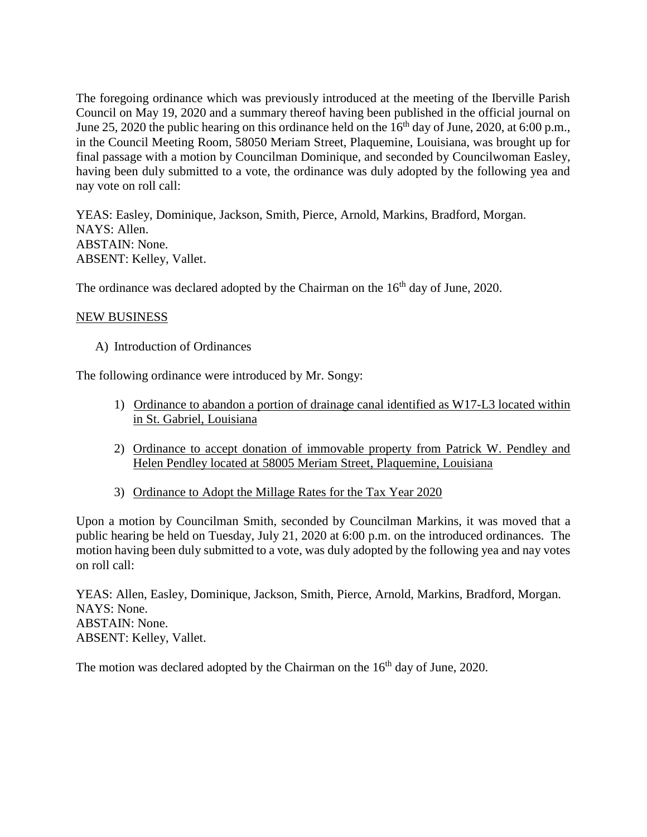The foregoing ordinance which was previously introduced at the meeting of the Iberville Parish Council on May 19, 2020 and a summary thereof having been published in the official journal on June 25, 2020 the public hearing on this ordinance held on the 16<sup>th</sup> day of June, 2020, at 6:00 p.m., in the Council Meeting Room, 58050 Meriam Street, Plaquemine, Louisiana, was brought up for final passage with a motion by Councilman Dominique, and seconded by Councilwoman Easley, having been duly submitted to a vote, the ordinance was duly adopted by the following yea and nay vote on roll call:

YEAS: Easley, Dominique, Jackson, Smith, Pierce, Arnold, Markins, Bradford, Morgan. NAYS: Allen. ABSTAIN: None. ABSENT: Kelley, Vallet.

The ordinance was declared adopted by the Chairman on the 16<sup>th</sup> day of June, 2020.

## NEW BUSINESS

A) Introduction of Ordinances

The following ordinance were introduced by Mr. Songy:

- 1) Ordinance to abandon a portion of drainage canal identified as W17-L3 located within in St. Gabriel, Louisiana
- 2) Ordinance to accept donation of immovable property from Patrick W. Pendley and Helen Pendley located at 58005 Meriam Street, Plaquemine, Louisiana
- 3) Ordinance to Adopt the Millage Rates for the Tax Year 2020

Upon a motion by Councilman Smith, seconded by Councilman Markins, it was moved that a public hearing be held on Tuesday, July 21, 2020 at 6:00 p.m. on the introduced ordinances. The motion having been duly submitted to a vote, was duly adopted by the following yea and nay votes on roll call:

YEAS: Allen, Easley, Dominique, Jackson, Smith, Pierce, Arnold, Markins, Bradford, Morgan. NAYS: None. ABSTAIN: None. ABSENT: Kelley, Vallet.

The motion was declared adopted by the Chairman on the 16<sup>th</sup> day of June, 2020.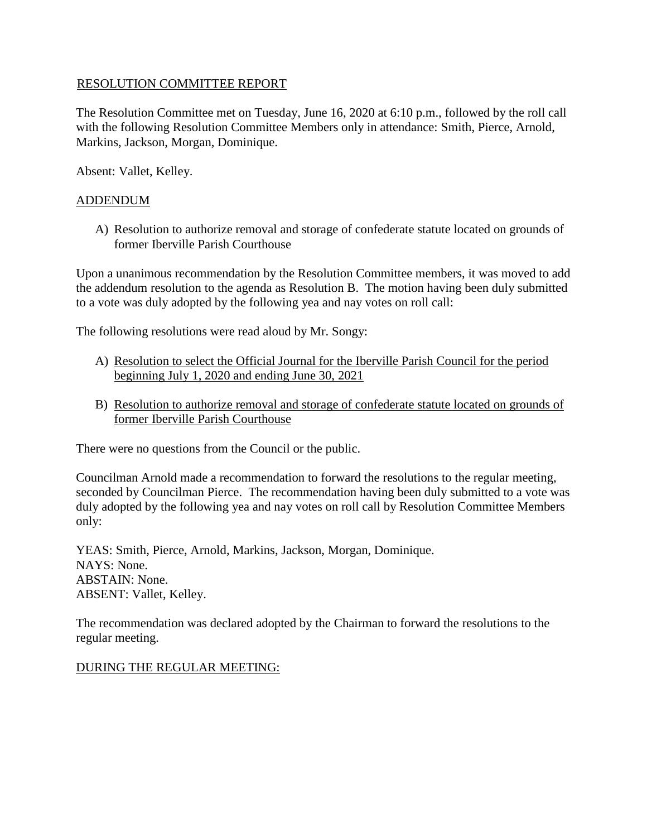### RESOLUTION COMMITTEE REPORT

The Resolution Committee met on Tuesday, June 16, 2020 at 6:10 p.m., followed by the roll call with the following Resolution Committee Members only in attendance: Smith, Pierce, Arnold, Markins, Jackson, Morgan, Dominique.

Absent: Vallet, Kelley.

## ADDENDUM

A) Resolution to authorize removal and storage of confederate statute located on grounds of former Iberville Parish Courthouse

Upon a unanimous recommendation by the Resolution Committee members, it was moved to add the addendum resolution to the agenda as Resolution B. The motion having been duly submitted to a vote was duly adopted by the following yea and nay votes on roll call:

The following resolutions were read aloud by Mr. Songy:

- A) Resolution to select the Official Journal for the Iberville Parish Council for the period beginning July 1, 2020 and ending June 30, 2021
- B) Resolution to authorize removal and storage of confederate statute located on grounds of former Iberville Parish Courthouse

There were no questions from the Council or the public.

Councilman Arnold made a recommendation to forward the resolutions to the regular meeting, seconded by Councilman Pierce. The recommendation having been duly submitted to a vote was duly adopted by the following yea and nay votes on roll call by Resolution Committee Members only:

YEAS: Smith, Pierce, Arnold, Markins, Jackson, Morgan, Dominique. NAYS: None. ABSTAIN: None. ABSENT: Vallet, Kelley.

The recommendation was declared adopted by the Chairman to forward the resolutions to the regular meeting.

#### DURING THE REGULAR MEETING: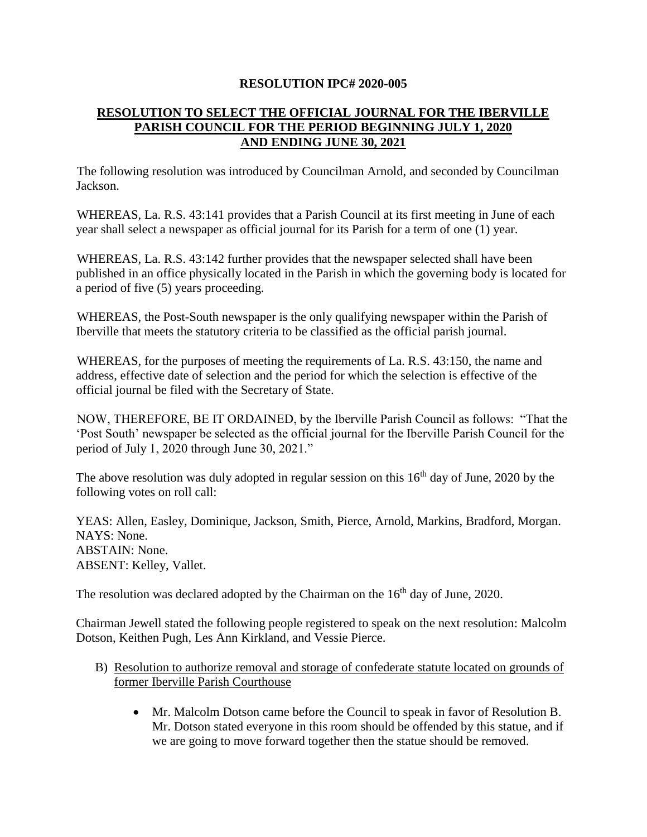#### **RESOLUTION IPC# 2020-005**

## **RESOLUTION TO SELECT THE OFFICIAL JOURNAL FOR THE IBERVILLE PARISH COUNCIL FOR THE PERIOD BEGINNING JULY 1, 2020 AND ENDING JUNE 30, 2021**

The following resolution was introduced by Councilman Arnold, and seconded by Councilman Jackson.

WHEREAS, La. R.S. 43:141 provides that a Parish Council at its first meeting in June of each year shall select a newspaper as official journal for its Parish for a term of one (1) year.

WHEREAS, La. R.S. 43:142 further provides that the newspaper selected shall have been published in an office physically located in the Parish in which the governing body is located for a period of five (5) years proceeding.

WHEREAS, the Post-South newspaper is the only qualifying newspaper within the Parish of Iberville that meets the statutory criteria to be classified as the official parish journal.

WHEREAS, for the purposes of meeting the requirements of La. R.S. 43:150, the name and address, effective date of selection and the period for which the selection is effective of the official journal be filed with the Secretary of State.

NOW, THEREFORE, BE IT ORDAINED, by the Iberville Parish Council as follows: "That the 'Post South' newspaper be selected as the official journal for the Iberville Parish Council for the period of July 1, 2020 through June 30, 2021."

The above resolution was duly adopted in regular session on this  $16<sup>th</sup>$  day of June, 2020 by the following votes on roll call:

YEAS: Allen, Easley, Dominique, Jackson, Smith, Pierce, Arnold, Markins, Bradford, Morgan. NAYS: None. ABSTAIN: None. ABSENT: Kelley, Vallet.

The resolution was declared adopted by the Chairman on the 16<sup>th</sup> day of June, 2020.

Chairman Jewell stated the following people registered to speak on the next resolution: Malcolm Dotson, Keithen Pugh, Les Ann Kirkland, and Vessie Pierce.

- B) Resolution to authorize removal and storage of confederate statute located on grounds of former Iberville Parish Courthouse
	- Mr. Malcolm Dotson came before the Council to speak in favor of Resolution B. Mr. Dotson stated everyone in this room should be offended by this statue, and if we are going to move forward together then the statue should be removed.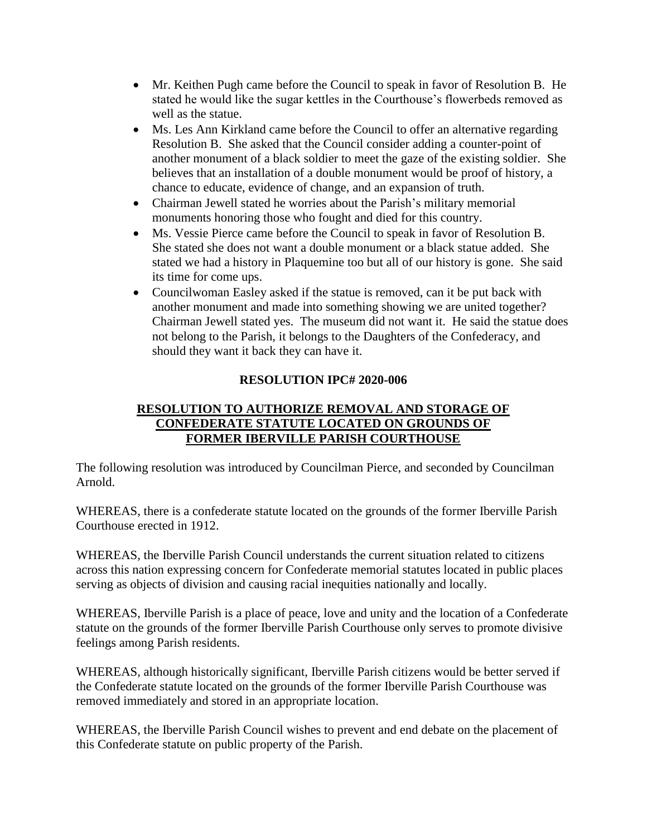- Mr. Keithen Pugh came before the Council to speak in favor of Resolution B. He stated he would like the sugar kettles in the Courthouse's flowerbeds removed as well as the statue.
- Ms. Les Ann Kirkland came before the Council to offer an alternative regarding Resolution B. She asked that the Council consider adding a counter-point of another monument of a black soldier to meet the gaze of the existing soldier. She believes that an installation of a double monument would be proof of history, a chance to educate, evidence of change, and an expansion of truth.
- Chairman Jewell stated he worries about the Parish's military memorial monuments honoring those who fought and died for this country.
- Ms. Vessie Pierce came before the Council to speak in favor of Resolution B. She stated she does not want a double monument or a black statue added. She stated we had a history in Plaquemine too but all of our history is gone. She said its time for come ups.
- Councilwoman Easley asked if the statue is removed, can it be put back with another monument and made into something showing we are united together? Chairman Jewell stated yes. The museum did not want it. He said the statue does not belong to the Parish, it belongs to the Daughters of the Confederacy, and should they want it back they can have it.

# **RESOLUTION IPC# 2020-006**

# **RESOLUTION TO AUTHORIZE REMOVAL AND STORAGE OF CONFEDERATE STATUTE LOCATED ON GROUNDS OF FORMER IBERVILLE PARISH COURTHOUSE**

The following resolution was introduced by Councilman Pierce, and seconded by Councilman Arnold.

WHEREAS, there is a confederate statute located on the grounds of the former Iberville Parish Courthouse erected in 1912.

WHEREAS, the Iberville Parish Council understands the current situation related to citizens across this nation expressing concern for Confederate memorial statutes located in public places serving as objects of division and causing racial inequities nationally and locally.

WHEREAS, Iberville Parish is a place of peace, love and unity and the location of a Confederate statute on the grounds of the former Iberville Parish Courthouse only serves to promote divisive feelings among Parish residents.

WHEREAS, although historically significant, Iberville Parish citizens would be better served if the Confederate statute located on the grounds of the former Iberville Parish Courthouse was removed immediately and stored in an appropriate location.

WHEREAS, the Iberville Parish Council wishes to prevent and end debate on the placement of this Confederate statute on public property of the Parish.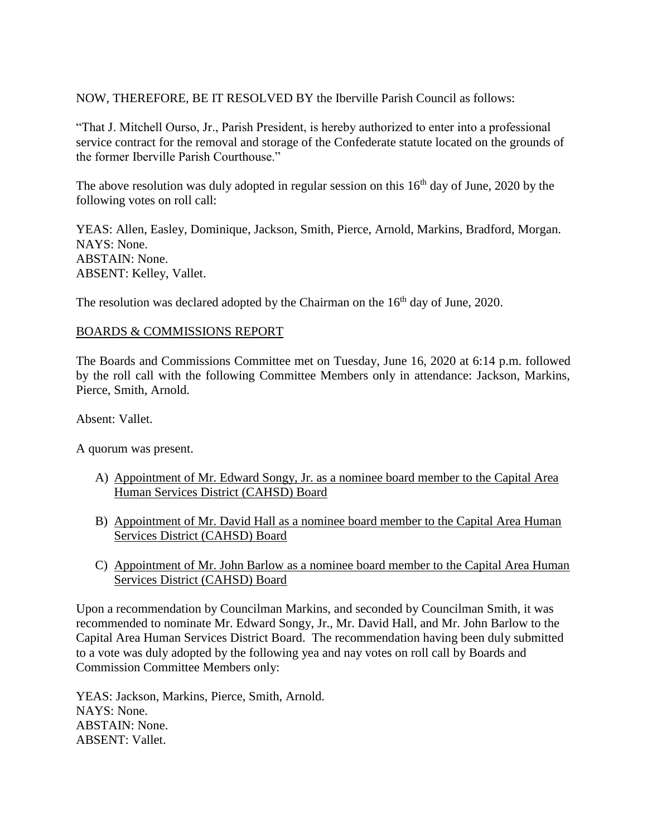NOW, THEREFORE, BE IT RESOLVED BY the Iberville Parish Council as follows:

"That J. Mitchell Ourso, Jr., Parish President, is hereby authorized to enter into a professional service contract for the removal and storage of the Confederate statute located on the grounds of the former Iberville Parish Courthouse."

The above resolution was duly adopted in regular session on this  $16<sup>th</sup>$  day of June, 2020 by the following votes on roll call:

YEAS: Allen, Easley, Dominique, Jackson, Smith, Pierce, Arnold, Markins, Bradford, Morgan. NAYS: None. ABSTAIN: None. ABSENT: Kelley, Vallet.

The resolution was declared adopted by the Chairman on the 16<sup>th</sup> day of June, 2020.

#### BOARDS & COMMISSIONS REPORT

The Boards and Commissions Committee met on Tuesday, June 16, 2020 at 6:14 p.m. followed by the roll call with the following Committee Members only in attendance: Jackson, Markins, Pierce, Smith, Arnold.

Absent: Vallet.

A quorum was present.

- A) Appointment of Mr. Edward Songy, Jr. as a nominee board member to the Capital Area Human Services District (CAHSD) Board
- B) Appointment of Mr. David Hall as a nominee board member to the Capital Area Human Services District (CAHSD) Board
- C) Appointment of Mr. John Barlow as a nominee board member to the Capital Area Human Services District (CAHSD) Board

Upon a recommendation by Councilman Markins, and seconded by Councilman Smith, it was recommended to nominate Mr. Edward Songy, Jr., Mr. David Hall, and Mr. John Barlow to the Capital Area Human Services District Board. The recommendation having been duly submitted to a vote was duly adopted by the following yea and nay votes on roll call by Boards and Commission Committee Members only:

YEAS: Jackson, Markins, Pierce, Smith, Arnold. NAYS: None. ABSTAIN: None. ABSENT: Vallet.